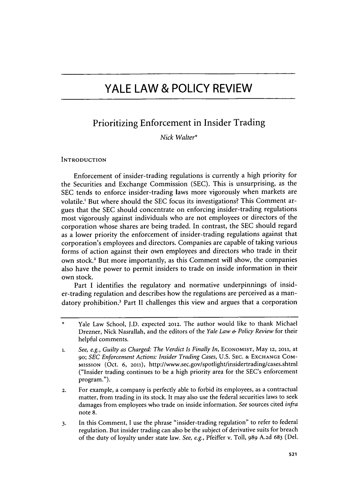## Prioritizing Enforcement in Insider Trading

*Nick Walter\**

## **INTRODUCTION**

Enforcement of insider-trading regulations is currently a high priority for the Securities and Exchange Commission **(SEC).** This is unsurprising, as the **SEC** tends to enforce insider-trading laws more vigorously when markets are volatile.' But where should the **SEC** focus its investigations? This Comment argues that the **SEC** should concentrate on enforcing insider-trading regulations most vigorously against individuals who are not employees or directors of the corporation whose shares are being traded. In contrast, the **SEC** should regard as a lower priority the enforcement of insider-trading regulations against that corporation's employees and directors. Companies are capable of taking various forms of action against their own employees and directors who trade in their own stock.' But more importantly, as this Comment will show, the companies also have the power to permit insiders to trade on inside information in their own stock.

Part I identifies the regulatory and normative underpinnings of insider-trading regulation and describes how the regulations are perceived as a mandatory prohibition.3 Part II challenges this view and argues that a corporation

- **2.** For example, a company is perfectly able to forbid its employees, as a contractual matter, from trading in its stock. It may also use the federal securities laws to seek damages from employees who trade on inside information. *See* **sources** cited *infra* note **8.**
- **3.** In this Comment, **I** use the phrase "insider-trading regulation" to refer to federal regulation. But insider trading can also **be** the subject of derivative suits for breach of the duty of loyalty under state law. *See, e.g.,* **Pfeiffer** v. Toll, **989 A.2d 683** (Del.

<sup>\*</sup> Yale Law School, **J.D.** expected **2012.** The author would like to thank Michael Drezner, Nick Nasrallah, and the editors of the *Yale Law & Policy Review* for their helpful comments.

**<sup>1.</sup>** *See, e.g., Guilty as Charged: The Verdict Is Finally In,* **ECONOMIST,** May **12, 20n,** at **90;** *SEC Enforcement Actions: Insider Trading Cases,* **U.S. SEC. & EXCHANGE COM-MISSION** (Oct. **6, 2011),** http://www.sec.gov/spotlight/insidertrading/cases.shtml ("Insider trading continues to be a high priority area for the SEC's enforcement program.").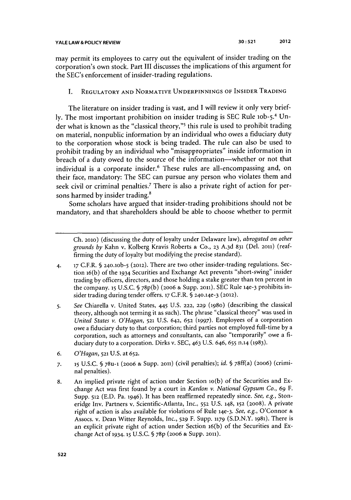may permit its employees to carry out the equivalent of insider trading on the corporation's own stock. Part **III** discusses the implications of this argument for the SEC's enforcement of insider-trading regulations.

## **I. REGULATORY AND NORMATIVE UNDERPINNINGS OF INSIDER TRADING**

The literature on insider trading is vast, and **I** will review it only very brief**ly.** The most important prohibition on insider trading is **SEC** Rule lob-5. 4 Under what is known as the "classical theory,"<sup>5</sup> this rule is used to prohibit trading on material, nonpublic information **by** an individual who owes a fiduciary duty to the corporation whose stock is being traded. The rule can also be used to prohibit trading **by** an individual who "misappropriates" inside information in breach of a duty owed to the source of the information-whether or not that individual is a corporate insider.<sup>6</sup> These rules are all-encompassing and, on their face, mandatory: The **SEC** can pursue any person who violates them and seek civil or criminal penalties.<sup>7</sup> There is also a private right of action for persons harmed **by** insider trading.'

Some scholars have argued that insider-trading prohibitions should not be mandatory, and that shareholders should be able to choose whether to permit

**Ch. 2010)** (discussing the duty of loyalty under Delaware law), *abrogated on other grounds by* Kahn v. Kolberg Kravis Roberts **& Co., 23 A.3d 831** (Del. **2011)** (reaffirming the duty of loyalty but modifying the precise standard).

- **4. 17** C.F.R. **§ 240.1ob-5 (2012).** There are two other insider-trading regulations. Section 16(b) of the **1934** Securities and Exchange Act prevents "short-swing" insider trading **by** officers, directors, and those holding a stake greater than ten percent in the company. **15 U.S.C. § 78p(b) (2006 & Supp. 2011). SEC** Rule **14e-3** prohibits insider trading during tender offers. **17** C.F.R. **§ 240.14e-3 (2012).**
- **5.** *See* Chiarella v. United States, *445* **U.S. 222, 229 (1980)** (describing the classical theory, although not terming it as such). The phrase "classical theory" was used in *United States v. O'Hagan,* **521 U.S. 642, 652 (1997).** Employees of a corporation owe a fiduciary duty to that corporation; third parties not employed full-time **by** a corporation, such as attorneys and consultants, can also "temporarily" owe a **fi**duciary duty to a corporation. Dirks v. **SEC,** 463 **U.S. 646, 655 n.14 (1983).**
- *6. O'Hagan,* **521 U.S.** at **652.**
- *7.* **15 U.S.C. § 78u-1 (2oo6 & Supp. 2011)** (civil penalties); *id. §* 78ff(a) **(2006)** (criminal penalties).
- **8.** An implied private right of action under Section lo(b) of the Securities and Exchange Act was first found **by** a court in *Kardon v. National Gypsum Co., 69* F. Supp. **512 (E.D.** Pa. **1946).** It has been reaffirmed repeatedly since. *See, e.g.,* Stoneridge Inv. Partners v. Scientific-Atlanta, Inc., **552 U.S. 148, 152 (2008). A** private right of action is also available for violations of Rule **14e-3.** *See, e.g.,* **O'Connor &** Assocs. v. Dean Witter Reynolds, Inc., **529** F. Supp. **1179 (S.D.N.Y. 1981).** There is an explicit private right of action under Section 16(b) of the Securities and Exchange Act **of 1934- 15 U.S.C. § 78p (2006 & Supp. 2011).**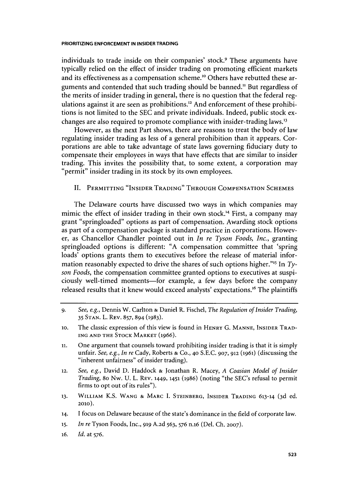individuals to trade inside on their companies' stock.<sup>9</sup> These arguments have typically relied on the effect of insider trading on promoting efficient markets and its effectiveness as a compensation scheme.<sup>10</sup> Others have rebutted these arguments and contended that such trading should be banned." But regardless of the merits of insider trading in general, there is no question that the federal regulations against it are seen as prohibitions.<sup>12</sup> And enforcement of these prohibitions is not limited to the **SEC** and private individuals. Indeed, public stock exchanges are also required to promote compliance with insider-trading laws.

However, as the next Part shows, there are reasons to treat the body of law regulating insider trading as less of a general prohibition than it appears. Corporations are able to take advantage of state laws governing fiduciary duty to compensate their employees in ways that have effects that are similar to insider trading. This invites the possibility that, to some extent, a corporation may "permit" insider trading in its stock **by** its own employees.

## **II. PERMITTING "INSIDER TRADING" THROUGH COMPENSATION SCHEMES**

The Delaware courts have discussed two ways in which companies may mimic the effect of insider trading in their own stock.<sup>14</sup> First, a company may grant "springloaded" options as part of compensation. Awarding stock options as part of a compensation package is standard practice in corporations. However, as Chancellor Chandler pointed out in *In re Tyson Foods, Inc.,* granting springloaded options is different: **"A** compensation committee that 'spring loads' options grants them to executives before the release of material information reasonably expected to drive the shares of such options higher.<sup>"15</sup> In *Tyson Foods,* the compensation committee granted options to executives at suspiciously well-timed moments-for example, a few days before the company released results that it knew would exceed analysts' expectations.<sup>16</sup> The plaintiffs

- **13. WILLIAM** K.S. **WANG & MARC I. STEINBERG, INSIDER TRADING 613-14 (3d** ed. **2010).**
- **14.** I focus on Delaware because of the state's dominance in the field of corporate law.
- **15.** *In re* Tyson Foods, Inc., **919 A.2d 563, 576 n.16** (Del. **Ch. 2007).**
- **16.** *Id.* at **576.**

**<sup>9.</sup>** *See, e.g.,* Dennis W. Carlton **&** Daniel R. Fischel, *The Regulation of Insider Trading,* **35 STAN.** L. **REV. 857,** 894 **(1983).**

**<sup>10.</sup>** The classic expression of this view is found in **HENRY G. MANNE, INSIDER TRAD-ING AND THE STOCK MARKET (1966).**

**i.** One argument that counsels toward prohibiting insider trading is that it is simply unfair. *See, e.g., In re* Cady, Roberts **& Co., 40 S.E.C. 907, 912 (1961)** (discussing the "inherent unfairness" of insider trading).

**<sup>12.</sup>** *See, e.g.,* David **D.** Haddock **&** Jonathan R. Macey, *A Coasian Model of Insider Trading,* 80 Nw. **U.** L. **REV. 1449, 1451 (1986)** (noting "the SEC's refusal to permit firms to opt out of its rules").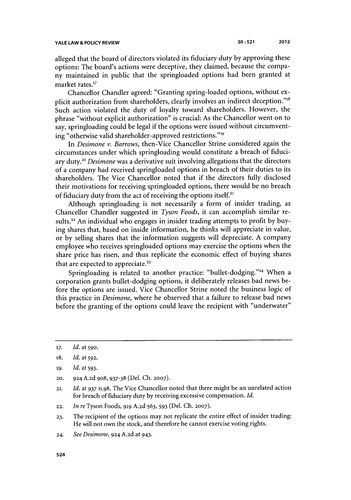alleged that the board of directors violated its fiduciary duty **by** approving these options: The board's actions were deceptive, they claimed, because the company maintained in public that the springloaded options had been granted at market rates.'<sup>7</sup>

Chancellor Chandler agreed: "Granting spring-loaded options, without explicit authorization from shareholders, clearly involves an indirect deception."<sup>18</sup> Such action violated the duty of loyalty toward shareholders. However, the phrase "without explicit authorization" is crucial: As the Chancellor went on to say, springloading could be legal if the options were issued without circumventing "otherwise valid shareholder-approved restrictions."19

*In Desimone v. Barrows,* then-Vice Chancellor Strine considered again the circumstances under which springloading would constitute a breach of fiduciary duty.<sup>20</sup> Desimone was a derivative suit involving allegations that the directors of a company had received springloaded options in breach of their duties to its shareholders. The Vice Chancellor noted that if the directors **fully** disclosed their motivations for receiving springloaded options, there would be no breach of fiduciary duty from the act of receiving the options itself."

Although springloading is not necessarily a form of insider trading, as Chancellor Chandler suggested in *Tyson Foods,* it can accomplish similar results.<sup>22</sup> An individual who engages in insider trading attempts to profit by buying shares that, based on inside information, he thinks will appreciate in value, or **by** selling shares that the information suggests will depreciate. **A** company employee who receives springloaded options may exercise the options when the share price has risen, and thus replicate the economic effect of buying shares that are expected to appreciate.<sup>23</sup>

Springloading is related to another practice: "bullet-dodging."<sup>24</sup> When a corporation grants bullet-dodging options, it deliberately releases bad news before the options are issued. Vice Chancellor Strine noted the business logic of this practice in *Desimone,* where he observed that a failure to release bad news before the granting of the options could leave the recipient with "underwater"

*<sup>17.</sup> Id.* at **590.**

**<sup>18.</sup>** *Id. at 592.*

**<sup>19.</sup>** *Id.* at **593.**

**<sup>20. 924</sup> A.2d 908, 937-38** (Del. **Ch. 2007).**

**<sup>21.</sup>** *Id.* at **937** n.98. The Vice Chancellor noted that there might be an unrelated action for breach of fiduciary duty **by** receiving excessive compensation. *Id.*

**<sup>22.</sup>** *In re* Tyson Foods, *919* **A.2d 563, 593** (Del. **Ch. 2007).**

**<sup>23.</sup>** The recipient of the options may not replicate the entire effect of insider trading: He will not own the stock, and therefore he cannot exercise voting rights.

**<sup>24.</sup>** *See Desimone,* **924 A.2d** at 943.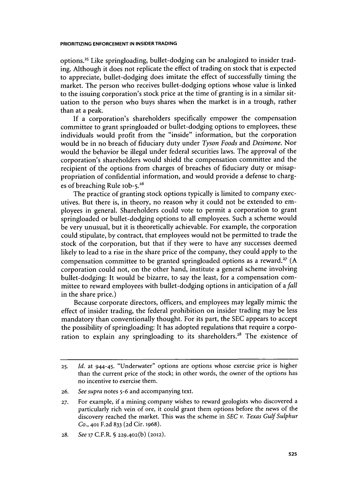options.<sup>25</sup> Like springloading, bullet-dodging can be analogized to insider trad**ing.** Although it does not replicate the effect of trading on stock that is expected to appreciate, bullet-dodging does imitate the effect of successfully timing the market. The person who receives bullet-dodging options whose value is linked to the issuing corporation's stock price at the time of granting is in a similar situation to the person who buys shares when the market is in a trough, rather than at a peak.

**If** a corporation's shareholders specifically empower the compensation committee to grant springloaded or bullet-dodging options to employees, these individuals would profit from the "inside" information, but the corporation would be in no breach of fiduciary duty under *Tyson Foods and Desimone. Nor* would the behavior be illegal under federal securities laws. The approval of the corporation's shareholders would shield the compensation committee and the recipient of the options from charges of breaches of fiduciary duty or misappropriation of confidential information, and would provide a defense to charges of breaching Rule 10b-5.<sup>26</sup>

The practice of granting stock options typically is limited to company executives. But there is, in theory, no reason why it could not be extended to employees in general. Shareholders could vote to permit a corporation to grant springloaded or bullet-dodging options to all employees. Such a scheme would be very unusual, but it is theoretically achievable. For example, the corporation could stipulate, **by** contract, that employees would not be permitted to trade the stock of the corporation, but that if they were to have any successes deemed likely to lead to a rise in the share price of the company, they could apply to the compensation committee to be granted springloaded options as a reward." **(A** corporation could not, on the other hand, institute a general scheme involving bullet-dodging: It would be bizarre, to say the least, for a compensation committee to reward employees with bullet-dodging options in anticipation of *a fall* in the share price.)

Because corporate directors, officers, and employees may legally mimic the effect of insider trading, the federal prohibition on insider trading may be less mandatory than conventionally thought. For its part, the **SEC** appears to accept the possibility of springloading: It has adopted regulations that require a corporation to explain any springloading to its shareholders.<sup>28</sup> The existence of

**26.** *See supra* **notes 5-6** and accompanying text.

**<sup>25.</sup>** *Id.* **at** 944-45. "Underwater" options are options whose exercise price is higher than the current price of the stock; in other words, the owner of the options has no incentive to exercise them.

**<sup>27.</sup>** For example, if a mining company wishes to reward geologists who discovered a particularly rich vein of ore, it could grant them options before the news of the discovery reached the market. This was the scheme in *SEC v. Texas Gulf Sulphur Co.,* **401 F.2d 833 (2d** Cir. **1968).**

**<sup>28.</sup>** *See* **17** C.F.R. **§ 229-402(b) (2012).**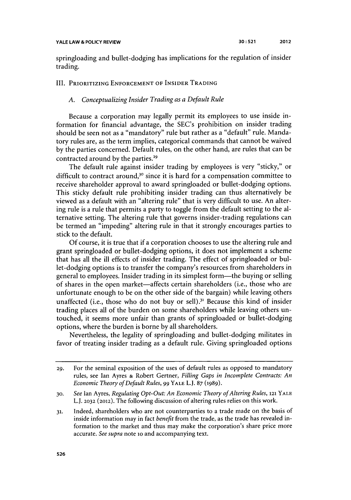springloading and bullet-dodging has implications for the regulation of insider trading.

## III. **PRIORITIZING ENFORCEMENT OF INSIDER TRADING**

## *A. Conceptualizing Insider Trading as a Default Rule*

Because a corporation may legally permit its employees to use inside information for financial advantage, the SEC's prohibition on insider trading should be seen not as a "mandatory" rule but rather as a "default" rule. Mandatory rules are, as the term implies, categorical commands that cannot be waived **by** the parties concerned. Default rules, on the other hand, are rules that can be contracted around by the parties.<sup>29</sup>

The default rule against insider trading **by** employees is very "sticky," or difficult to contract around,<sup>30</sup> since it is hard for a compensation committee to receive shareholder approval to award springloaded or bullet-dodging options. This sticky default rule prohibiting insider trading can thus alternatively be viewed as a default with an "altering rule" that is very difficult to use. An altering rule is a rule that permits a party to toggle from the default setting to the alternative setting. The altering rule that governs insider-trading regulations can be termed an "impeding" altering rule in that it strongly encourages parties to stick to the default.

**Of** course, it is true that if a corporation chooses to use the altering rule and grant springloaded or bullet-dodging options, it does not implement a scheme that has all the **ill** effects of insider trading. The effect of springloaded or bullet-dodging options is to transfer the company's resources from shareholders in general to employees. Insider trading in its simplest form-the buying or selling of shares in the open market—affects certain shareholders (i.e., those who are unfortunate enough to be on the other side of the bargain) while leaving others unaffected (i.e., those who do not buy or sell). $3<sup>1</sup>$  Because this kind of insider trading places all of the burden on some shareholders while leaving others untouched, it seems more unfair than grants of springloaded or bullet-dodging options, where the burden is borne **by** all shareholders.

Nevertheless, the legality of springloading and bullet-dodging militates in favor of treating insider trading as a default rule. Giving springloaded options

**<sup>29.</sup>** For the seminal exposition of the uses of default rules as opposed to mandatory rules, see Ian Ayres **&** Robert Gertner, *Filling Gaps in Incomplete Contracts: An Economic Theory ofDefault Rules, 99* **YALE** L.J. **87 (1989).**

**<sup>30.</sup>** *See* Ian Ayres, *Regulating Opt-Out: An Economic Theory of Altering Rules,* **121 YALE** L.J. **2032 (2012).** The following discussion of altering rules relies on this work.

**<sup>31.</sup>** Indeed, shareholders who are not counterparties to a trade made on the basis of inside information may in fact *benefit* from the trade, as the trade has revealed information to the market and thus may make the corporation's share price more accurate. *See supra* note io and accompanying text.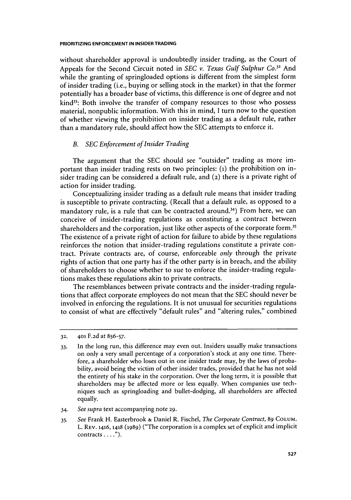without shareholder approval is undoubtedly insider trading, as the Court of Appeals for the Second Circuit noted in *SEC v. Texas Gulf Sulphur Co.<sup>3</sup> '* And while the granting of springloaded options is different from the simplest form of insider trading (i.e., buying or selling stock in the market) in that the former potentially has a broader base of victims, this difference is one of degree and not kind<sup>33</sup>: Both involve the transfer of company resources to those who possess material, nonpublic information. With this in mind, **I** turn now to the question of whether viewing the prohibition on insider trading as a default rule, rather than a mandatory rule, should affect how the **SEC** attempts to enforce it.

## *B. SEC Enforcement of Insider Trading*

The argument that the **SEC** should see "outsider" trading as more important than insider trading rests on two principles: **(i)** the prohibition on insider trading can be considered a default rule, and **(2)** there is a private right of action for insider trading.

Conceptualizing insider trading as a default rule means that insider trading is susceptible to private contracting. (Recall that a default rule, as opposed to a mandatory rule, is a rule that can be contracted around.<sup>34</sup>) From here, we can conceive of insider-trading regulations as constituting a contract between shareholders and the corporation, just like other aspects of the corporate form.<sup>35</sup> The existence of a private right of action for failure to abide **by** these regulations reinforces the notion that insider-trading regulations constitute a private contract. Private contracts are, of course, enforceable *only* through the private rights of action that one party has if the other party is in breach, and the ability of shareholders to choose whether to sue to enforce the insider-trading regulations makes these regulations akin to private contracts.

The resemblances between private contracts and the insider-trading regulations that affect corporate employees do not mean that the **SEC** should never be involved in enforcing the regulations. It is not unusual for securities regulations to consist of what are effectively "default rules" and "altering rules," combined

**32. 401 F.2d** at **856-57.**

- 34. *See supra* text accompanying note **29.**
- **35.** *See* Frank H. Easterbrook **&** Daniel R. Fischel, *The Corporate Contract,* **89 COLUM.** L. **REV. 1416,1418** (1989) ("The corporation is a complex set of explicit and implicit contracts **. . . .").**

**<sup>33.</sup>** In the long run, this difference may even out. Insiders usually make transactions on only a very small percentage of a corporation's stock at any one time. Therefore, a shareholder who loses out in one insider trade may, **by** the laws of probability, avoid being the victim of other insider trades, provided that he has not sold the entirety of his stake in the corporation. Over the long term, it is possible that shareholders may be affected more or less equally. When companies use techniques such as springloading and bullet-dodging, all shareholders are affected equally.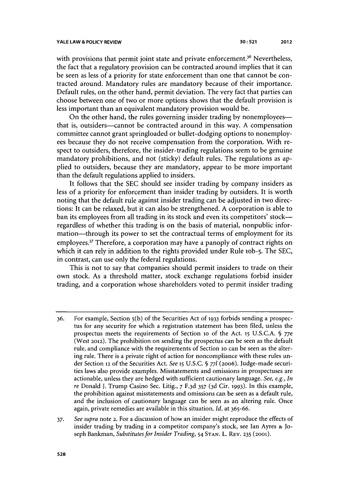with provisions that permit joint state and private enforcement.<sup>36</sup> Nevertheless, the fact that a regulatory provision can be contracted around implies that it can be seen as less of a priority for state enforcement than one that cannot be contracted around. Mandatory rules are mandatory because of their importance. Default rules, on the other hand, permit deviation. The very fact that parties can choose between one of two or more options shows that the default provision is less important than an equivalent mandatory provision would be.

On the other hand, the rules governing insider trading **by** nonemployeesthat is, outsiders-cannot be contracted around in this way. **A** compensation committee cannot grant springloaded or bullet-dodging options to nonemployees because they do not receive compensation from the corporation. With respect to outsiders, therefore, the insider-trading regulations seem to be genuine mandatory prohibitions, and not (sticky) default rules. The regulations as applied to outsiders, because they are mandatory, appear to be more important than the default regulations applied to insiders.

It follows that the **SEC** should see insider trading **by** company insiders as less of a priority for enforcement than insider trading **by** outsiders. It is worth noting that the default rule against insider trading can be adjusted in two directions: It can be relaxed, but it can also be strengthened. **A** corporation is able to ban its employees from all trading in its stock and even its competitors' stockregardless of whether this trading is on the basis of material, nonpublic information-through its power to set the contractual terms of employment for its employees.<sup>37</sup> Therefore, a corporation may have a panoply of contract rights on which it can rely in addition to the rights provided under Rule lob-5. The **SEC,** in contrast, can use only the federal regulations.

This is not to say that companies should permit insiders to trade on their own stock. As a threshold matter, stock exchange regulations forbid insider trading, and a corporation whose shareholders voted to permit insider trading

*37. See supra* note **2.** For a discussion of how an insider might reproduce the effects of insider trading **by** trading in a competitor company's stock, see Ian Ayres **&** Joseph Bankman, *Substitutes for Insider Trading,* 54 **STAN.** L. **REV. 235 (2001).**

*<sup>36.</sup>* For example, Section **5(b)** of the Securities Act **of 1933** forbids sending a prospectus for any security for which a registration statement has been filed, unless the prospectus meets the requirements of Section io of the Act. **15 U.S.C.A. §** *77e* (West **2012).** The prohibition on sending the prospectus can be seen as the default rule, and compliance with the requirements of Section lo can be seen as the altering rule. There is a private right of action for noncompliance with these rules under Section **12** of the Securities Act. *See* **15 U.S.C. § 771 (2006).** Judge-made securities laws also provide examples. Misstatements and omissions in prospectuses are actionable, unless they are hedged with sufficient cautionary language. *See, e.g., In re* Donald **J.** Trump Casino Sec. Litig., *7* **F.3d 357 (3d** Cir. **1993).** In this example, the prohibition against misstatements and omissions can be seen as a default rule, and the inclusion of cautionary language can be seen as an altering rule. Once again, private remedies are available in this situation. *Id.* at **365-66.**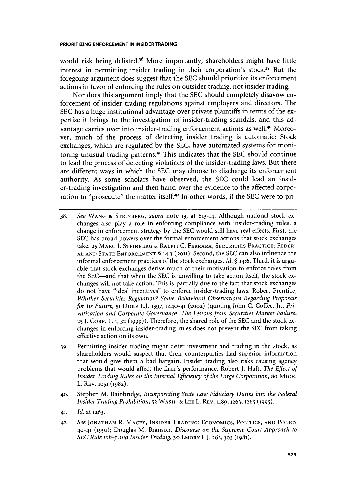would risk being delisted.<sup>38</sup> More importantly, shareholders might have little interest in permitting insider trading in their corporation's stock.<sup>39</sup> But the foregoing argument does suggest that the **SEC** should prioritize its enforcement actions in favor of enforcing the rules on outsider trading, not insider trading.

Nor does this argument imply that the **SEC** should completely disavow enforcement of insider-trading regulations against employees and directors. The **SEC** has a huge institutional advantage over private plaintiffs in terms of the expertise it brings to the investigation of insider-trading scandals, and this advantage carries over into insider-trading enforcement actions as well.<sup>40</sup> Moreover, much of the process of detecting insider trading is automatic: Stock exchanges, which are regulated **by** the **SEC,** have automated systems for monitoring unusual trading patterns.4 ' This indicates that the **SEC** should continue to lead the process of detecting violations of the insider-trading laws. But there are different ways in which the **SEC** may choose to discharge its enforcement authority. As some scholars have observed, the **SEC** could lead an insider-trading investigation and then hand over the evidence to the affected corporation to "prosecute" the matter itself.42 In other words, if the **SEC** were to pri-

- **38.** *See* **WANG & STEINBERG,** *supra* note **13,** at **613-14.** Although national stock exchanges also play a role in enforcing compliance with insider-trading rules, a change in enforcement strategy **by** the **SEC** would still have real effects. First, the **SEC** has broad powers over the formal enforcement actions that stock exchanges take. **25 MARC I. STEINBERG & RALPH C. FERRARA, SECURITIES PRACTICE: FEDER-AL AND STATE ENFORCEMENT § 14:3 (2011).** Second, the **SEC** can also influence the informal enforcement practices of the stock exchanges. *Id.* **§** 14:6. Third, it is arguable that stock exchanges derive much of their motivation to enforce rules from the SEC-and that when the **SEC** is unwilling to take action itself, the stock exchanges will not take action. This is partially due to the fact that stock exchanges do not have "ideal incentives" to enforce insider-trading laws. Robert Prentice, *Whither Securities Regulation? Some Behavioral Observations Regarding Proposals for Its Future,* **51 DUKE** L.J. **1397, 1440-41 (2002)** (quoting John **C.** Coffee, Jr., *Privatization and Corporate Governance: The Lessons from Securities Market Failure,* **25 J. CORP.** L. **1, 32 (1999)).** Therefore, the shared role of the **SEC** and the stock exchanges in enforcing insider-trading rules does not prevent the **SEC** from taking effective action on its own.
- **39.** Permitting insider trading might deter investment and trading in the stock, as shareholders would suspect that their counterparties had superior information that would give them a bad bargain. Insider trading also risks causing agency problems that would affect the firm's performance. Robert **J.** *Haft, The Effect of Insider Trading Rules on the Internal Efficiency of the Large Corporation,* 80 MICH. L. **REV. 1051 (1982).**
- **40.** Stephen M. Bainbridge, *Incorporating State Law Fiduciary Duties into the Federal Insider Trading Prohibition,* **52 WASH. & LEE** L. **REV. 1189,1263,1265 (1995).**
- **41.** *Id.* at **1263.**
- **42.** *See* **JONATHAN** R. **MACEY, INSIDER TRADING: ECONOMICS, POLITICS, AND POLICY 40-41 (1991);** Douglas M. Branson, *Discourse on the Supreme Court Approach to SEC Rule iob-5 and Insider Trading,* **3o EMORY** L.J. **263, 302 (1981).**